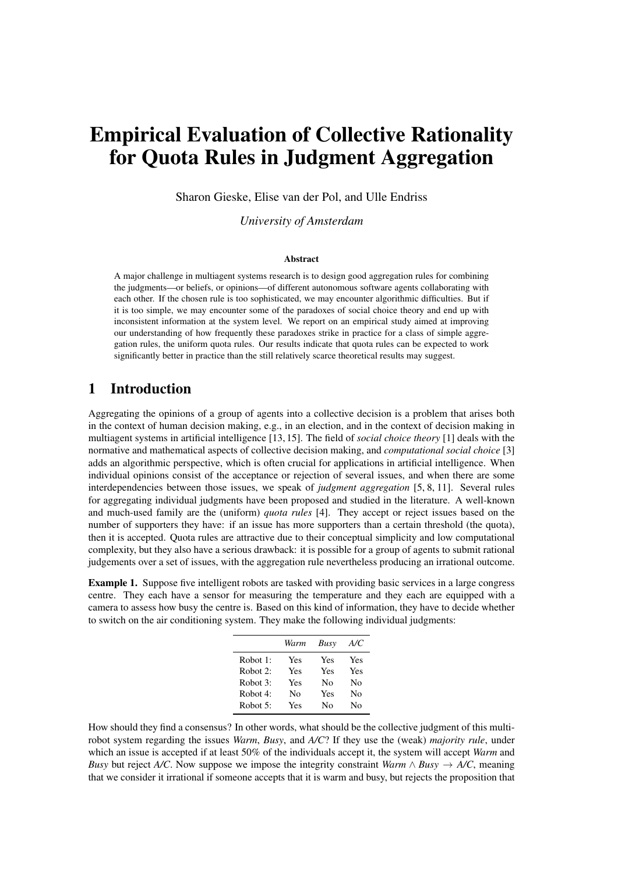# Empirical Evaluation of Collective Rationality for Quota Rules in Judgment Aggregation

Sharon Gieske, Elise van der Pol, and Ulle Endriss

*University of Amsterdam*

#### Abstract

A major challenge in multiagent systems research is to design good aggregation rules for combining the judgments—or beliefs, or opinions—of different autonomous software agents collaborating with each other. If the chosen rule is too sophisticated, we may encounter algorithmic difficulties. But if it is too simple, we may encounter some of the paradoxes of social choice theory and end up with inconsistent information at the system level. We report on an empirical study aimed at improving our understanding of how frequently these paradoxes strike in practice for a class of simple aggregation rules, the uniform quota rules. Our results indicate that quota rules can be expected to work significantly better in practice than the still relatively scarce theoretical results may suggest.

## 1 Introduction

Aggregating the opinions of a group of agents into a collective decision is a problem that arises both in the context of human decision making, e.g., in an election, and in the context of decision making in multiagent systems in artificial intelligence [13, 15]. The field of *social choice theory* [1] deals with the normative and mathematical aspects of collective decision making, and *computational social choice* [3] adds an algorithmic perspective, which is often crucial for applications in artificial intelligence. When individual opinions consist of the acceptance or rejection of several issues, and when there are some interdependencies between those issues, we speak of *judgment aggregation* [5, 8, 11]. Several rules for aggregating individual judgments have been proposed and studied in the literature. A well-known and much-used family are the (uniform) *quota rules* [4]. They accept or reject issues based on the number of supporters they have: if an issue has more supporters than a certain threshold (the quota), then it is accepted. Quota rules are attractive due to their conceptual simplicity and low computational complexity, but they also have a serious drawback: it is possible for a group of agents to submit rational judgements over a set of issues, with the aggregation rule nevertheless producing an irrational outcome.

Example 1. Suppose five intelligent robots are tasked with providing basic services in a large congress centre. They each have a sensor for measuring the temperature and they each are equipped with a camera to assess how busy the centre is. Based on this kind of information, they have to decide whether to switch on the air conditioning system. They make the following individual judgments:

|          | Warm | Busy | A/C |
|----------|------|------|-----|
| Robot 1: | Yes  | Yes  | Yes |
| Robot 2: | Yes  | Yes  | Yes |
| Robot 3: | Yes  | Nο   | Nο  |
| Robot 4: | Nο   | Yes  | Nο  |
| Robot 5: | Yes  | Nο   | Nο  |

How should they find a consensus? In other words, what should be the collective judgment of this multirobot system regarding the issues *Warm*, *Busy*, and *A/C*? If they use the (weak) *majority rule*, under which an issue is accepted if at least 50% of the individuals accept it, the system will accept *Warm* and *Busy* but reject *A/C*. Now suppose we impose the integrity constraint *Warm*  $\land$  *Busy*  $\rightarrow$  *A/C*, meaning that we consider it irrational if someone accepts that it is warm and busy, but rejects the proposition that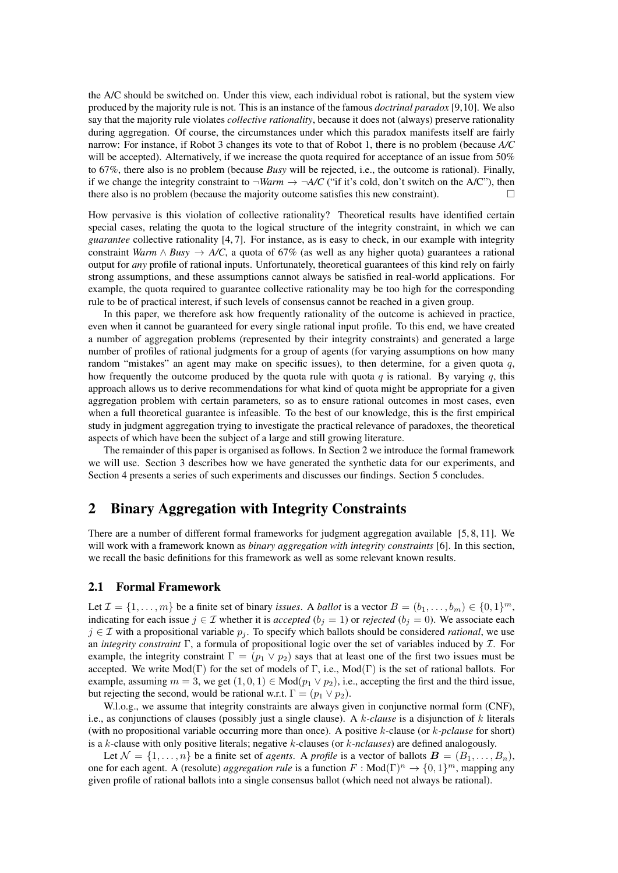the A/C should be switched on. Under this view, each individual robot is rational, but the system view produced by the majority rule is not. This is an instance of the famous *doctrinal paradox* [9,10]. We also say that the majority rule violates *collective rationality*, because it does not (always) preserve rationality during aggregation. Of course, the circumstances under which this paradox manifests itself are fairly narrow: For instance, if Robot 3 changes its vote to that of Robot 1, there is no problem (because *A/C* will be accepted). Alternatively, if we increase the quota required for acceptance of an issue from 50% to 67%, there also is no problem (because *Busy* will be rejected, i.e., the outcome is rational). Finally, if we change the integrity constraint to  $\neg Warm \rightarrow \neg A/C$  ("if it's cold, don't switch on the A/C"), then there also is no problem (because the majority outcome satisfies this new constraint).  $\Box$ 

How pervasive is this violation of collective rationality? Theoretical results have identified certain special cases, relating the quota to the logical structure of the integrity constraint, in which we can *guarantee* collective rationality [4, 7]. For instance, as is easy to check, in our example with integrity constraint *Warm*  $\land$  *Busy*  $\rightarrow$  *A/C*, a quota of 67% (as well as any higher quota) guarantees a rational output for *any* profile of rational inputs. Unfortunately, theoretical guarantees of this kind rely on fairly strong assumptions, and these assumptions cannot always be satisfied in real-world applications. For example, the quota required to guarantee collective rationality may be too high for the corresponding rule to be of practical interest, if such levels of consensus cannot be reached in a given group.

In this paper, we therefore ask how frequently rationality of the outcome is achieved in practice, even when it cannot be guaranteed for every single rational input profile. To this end, we have created a number of aggregation problems (represented by their integrity constraints) and generated a large number of profiles of rational judgments for a group of agents (for varying assumptions on how many random "mistakes" an agent may make on specific issues), to then determine, for a given quota q, how frequently the outcome produced by the quota rule with quota q is rational. By varying q, this approach allows us to derive recommendations for what kind of quota might be appropriate for a given aggregation problem with certain parameters, so as to ensure rational outcomes in most cases, even when a full theoretical guarantee is infeasible. To the best of our knowledge, this is the first empirical study in judgment aggregation trying to investigate the practical relevance of paradoxes, the theoretical aspects of which have been the subject of a large and still growing literature.

The remainder of this paper is organised as follows. In Section 2 we introduce the formal framework we will use. Section 3 describes how we have generated the synthetic data for our experiments, and Section 4 presents a series of such experiments and discusses our findings. Section 5 concludes.

## 2 Binary Aggregation with Integrity Constraints

There are a number of different formal frameworks for judgment aggregation available [5, 8, 11]. We will work with a framework known as *binary aggregation with integrity constraints* [6]. In this section, we recall the basic definitions for this framework as well as some relevant known results.

#### 2.1 Formal Framework

Let  $\mathcal{I} = \{1, \ldots, m\}$  be a finite set of binary *issues*. A *ballot* is a vector  $B = (b_1, \ldots, b_m) \in \{0, 1\}^m$ , indicating for each issue  $j \in \mathcal{I}$  whether it is *accepted* ( $b_j = 1$ ) or *rejected* ( $b_j = 0$ ). We associate each  $j \in \mathcal{I}$  with a propositional variable  $p_j$ . To specify which ballots should be considered *rational*, we use an *integrity constraint* Γ, a formula of propositional logic over the set of variables induced by I. For example, the integrity constraint  $\Gamma = (p_1 \vee p_2)$  says that at least one of the first two issues must be accepted. We write  $Mod(\Gamma)$  for the set of models of  $\Gamma$ , i.e.,  $Mod(\Gamma)$  is the set of rational ballots. For example, assuming  $m = 3$ , we get  $(1, 0, 1) \in Mod(p_1 \vee p_2)$ , i.e., accepting the first and the third issue, but rejecting the second, would be rational w.r.t.  $\Gamma = (p_1 \vee p_2)$ .

W.l.o.g., we assume that integrity constraints are always given in conjunctive normal form (CNF), i.e., as conjunctions of clauses (possibly just a single clause). A k*-clause* is a disjunction of k literals (with no propositional variable occurring more than once). A positive k-clause (or k*-pclause* for short) is a k-clause with only positive literals; negative k-clauses (or k*-nclauses*) are defined analogously.

Let  $\mathcal{N} = \{1, \ldots, n\}$  be a finite set of *agents*. A *profile* is a vector of ballots  $\mathbf{B} = (B_1, \ldots, B_n)$ , one for each agent. A (resolute) *aggregation rule* is a function  $F : Mod(\Gamma)^n \to \{0,1\}^m$ , mapping any given profile of rational ballots into a single consensus ballot (which need not always be rational).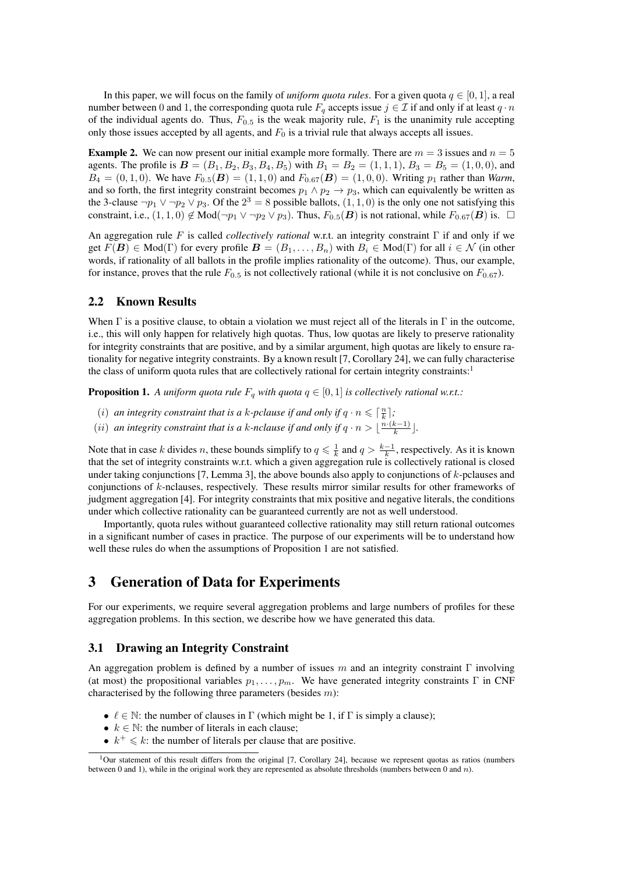In this paper, we will focus on the family of *uniform quota rules*. For a given quota  $q \in [0, 1]$ , a real number between 0 and 1, the corresponding quota rule  $F_q$  accepts issue  $j \in \mathcal{I}$  if and only if at least  $q \cdot n$ of the individual agents do. Thus,  $F_{0.5}$  is the weak majority rule,  $F_1$  is the unanimity rule accepting only those issues accepted by all agents, and  $F_0$  is a trivial rule that always accepts all issues.

**Example 2.** We can now present our initial example more formally. There are  $m = 3$  issues and  $n = 5$ agents. The profile is  $B = (B_1, B_2, B_3, B_4, B_5)$  with  $B_1 = B_2 = (1, 1, 1), B_3 = B_5 = (1, 0, 0)$ , and  $B_4 = (0, 1, 0)$ . We have  $F_{0.5}(B) = (1, 1, 0)$  and  $F_{0.67}(B) = (1, 0, 0)$ . Writing  $p_1$  rather than *Warm*, and so forth, the first integrity constraint becomes  $p_1 \wedge p_2 \rightarrow p_3$ , which can equivalently be written as the 3-clause  $\neg p_1 \lor \neg p_2 \lor p_3$ . Of the  $2^3 = 8$  possible ballots,  $(1, 1, 0)$  is the only one not satisfying this constraint, i.e.,  $(1,1,0) \notin Mod(\neg p_1 \lor \neg p_2 \lor p_3)$ . Thus,  $F_{0.5}(B)$  is not rational, while  $F_{0.67}(B)$  is.  $\Box$ 

An aggregation rule F is called *collectively rational* w.r.t. an integrity constraint Γ if and only if we get  $F(B) \in Mod(\Gamma)$  for every profile  $B = (B_1, \ldots, B_n)$  with  $B_i \in Mod(\Gamma)$  for all  $i \in \mathcal{N}$  (in other words, if rationality of all ballots in the profile implies rationality of the outcome). Thus, our example, for instance, proves that the rule  $F_{0.5}$  is not collectively rational (while it is not conclusive on  $F_{0.67}$ ).

## 2.2 Known Results

When  $\Gamma$  is a positive clause, to obtain a violation we must reject all of the literals in  $\Gamma$  in the outcome, i.e., this will only happen for relatively high quotas. Thus, low quotas are likely to preserve rationality for integrity constraints that are positive, and by a similar argument, high quotas are likely to ensure rationality for negative integrity constraints. By a known result [7, Corollary 24], we can fully characterise the class of uniform quota rules that are collectively rational for certain integrity constraints: $1<sup>1</sup>$ 

**Proposition 1.** A uniform quota rule  $F_q$  with quota  $q \in [0,1]$  is collectively rational w.r.t.:

- (*i*) an integrity constraint that is a k-pclause if and only if  $q \cdot n \leq \lceil \frac{n}{k} \rceil$ ; k
- (ii) an integrity constraint that is a k-nclause if and only if  $q \cdot n > \lfloor \frac{n \cdot (k-1)}{k} \rfloor$  $\frac{k-1}{k}$ .

Note that in case k divides n, these bounds simplify to  $q \leq \frac{1}{k}$  and  $q > \frac{k-1}{k}$ , respectively. As it is known that the set of integrity constraints w.r.t. which a given aggregation rule is collectively rational is closed under taking conjunctions [7, Lemma 3], the above bounds also apply to conjunctions of  $k$ -pclauses and conjunctions of k-nclauses, respectively. These results mirror similar results for other frameworks of judgment aggregation [4]. For integrity constraints that mix positive and negative literals, the conditions under which collective rationality can be guaranteed currently are not as well understood.

Importantly, quota rules without guaranteed collective rationality may still return rational outcomes in a significant number of cases in practice. The purpose of our experiments will be to understand how well these rules do when the assumptions of Proposition 1 are not satisfied.

# 3 Generation of Data for Experiments

For our experiments, we require several aggregation problems and large numbers of profiles for these aggregation problems. In this section, we describe how we have generated this data.

## 3.1 Drawing an Integrity Constraint

An aggregation problem is defined by a number of issues m and an integrity constraint  $\Gamma$  involving (at most) the propositional variables  $p_1, \ldots, p_m$ . We have generated integrity constraints Γ in CNF characterised by the following three parameters (besides  $m$ ):

- $\ell \in \mathbb{N}$ : the number of clauses in  $\Gamma$  (which might be 1, if  $\Gamma$  is simply a clause);
- $k \in \mathbb{N}$ : the number of literals in each clause;
- $k^+ \leq k$ : the number of literals per clause that are positive.

<sup>&</sup>lt;sup>1</sup>Our statement of this result differs from the original [7, Corollary 24], because we represent quotas as ratios (numbers between 0 and 1), while in the original work they are represented as absolute thresholds (numbers between 0 and n).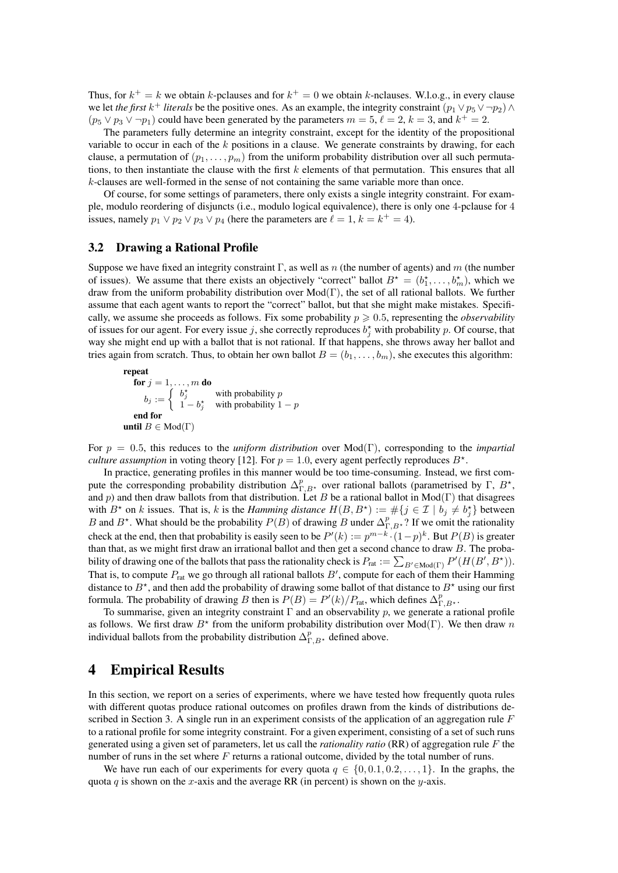Thus, for  $k^+ = k$  we obtain k-pclauses and for  $k^+ = 0$  we obtain k-nclauses. W.l.o.g., in every clause we let *the first*  $k^+$  *literals* be the positive ones. As an example, the integrity constraint  $(p_1 \vee p_5 \vee \neg p_2) \wedge p_3$  $(p_5 \vee p_3 \vee \neg p_1)$  could have been generated by the parameters  $m = 5, \ell = 2, k = 3$ , and  $k^+ = 2$ .

The parameters fully determine an integrity constraint, except for the identity of the propositional variable to occur in each of the  $k$  positions in a clause. We generate constraints by drawing, for each clause, a permutation of  $(p_1, \ldots, p_m)$  from the uniform probability distribution over all such permutations, to then instantiate the clause with the first  $k$  elements of that permutation. This ensures that all k-clauses are well-formed in the sense of not containing the same variable more than once.

Of course, for some settings of parameters, there only exists a single integrity constraint. For example, modulo reordering of disjuncts (i.e., modulo logical equivalence), there is only one 4-pclause for 4 issues, namely  $p_1 \vee p_2 \vee p_3 \vee p_4$  (here the parameters are  $\ell = 1, k = k^+ = 4$ ).

## 3.2 Drawing a Rational Profile

Suppose we have fixed an integrity constraint  $\Gamma$ , as well as n (the number of agents) and m (the number of issues). We assume that there exists an objectively "correct" ballot  $B^* = (b_1^*, \ldots, b_m^*)$ , which we draw from the uniform probability distribution over Mod(Γ), the set of all rational ballots. We further assume that each agent wants to report the "correct" ballot, but that she might make mistakes. Specifically, we assume she proceeds as follows. Fix some probability  $p \geq 0.5$ , representing the *observability* of issues for our agent. For every issue j, she correctly reproduces  $b_j^*$  with probability p. Of course, that way she might end up with a ballot that is not rational. If that happens, she throws away her ballot and tries again from scratch. Thus, to obtain her own ballot  $B = (b_1, \ldots, b_m)$ , she executes this algorithm:

repeat for  $j=1,\ldots,m$  do  $b_j := \begin{cases} b_j^{\star} & \text{with probability } p \ 1 & \text{with probability } 1 \end{cases}$  $1 - b_j^*$  with probability  $1 - p$ end for until  $B \in Mod(\Gamma)$ 

For p = 0.5, this reduces to the *uniform distribution* over Mod(Γ), corresponding to the *impartial culture assumption* in voting theory [12]. For  $p = 1.0$ , every agent perfectly reproduces  $B^*$ .

In practice, generating profiles in this manner would be too time-consuming. Instead, we first compute the corresponding probability distribution  $\Delta_{\Gamma,B^{\star}}^p$  over rational ballots (parametrised by  $\Gamma, B^{\star}$ , and p) and then draw ballots from that distribution. Let B be a rational ballot in Mod(Γ) that disagrees with  $B^*$  on k issues. That is, k is the *Hamming distance*  $H(B, B^*) := \#\{j \in \mathcal{I} \mid b_j \neq b_j^*\}$  between B and B<sup>\*</sup>. What should be the probability  $P(B)$  of drawing B under  $\Delta_{\Gamma,B^*}^p$ ? If we omit the rationality check at the end, then that probability is easily seen to be  $P'(k) := p^{m-k} \cdot (1-p)^k$ . But  $P(B)$  is greater than that, as we might first draw an irrational ballot and then get a second chance to draw  $B$ . The probability of drawing one of the ballots that pass the rationality check is  $P_{rat} := \sum_{B' \in \text{Mod}(\Gamma)} P'(H(B', B^*))$ . That is, to compute  $P_{\text{rat}}$  we go through all rational ballots  $B'$ , compute for each of them their Hamming distance to  $B^*$ , and then add the probability of drawing some ballot of that distance to  $B^*$  using our first formula. The probability of drawing B then is  $P(B) = P'(k)/P_{\text{rat}}$ , which defines  $\Delta_{\Gamma,B^*}^p$ .

To summarise, given an integrity constraint  $\Gamma$  and an observability p, we generate a rational profile as follows. We first draw  $B^*$  from the uniform probability distribution over Mod(Γ). We then draw n individual ballots from the probability distribution  $\Delta_{\Gamma,B}^p$ , defined above.

## 4 Empirical Results

In this section, we report on a series of experiments, where we have tested how frequently quota rules with different quotas produce rational outcomes on profiles drawn from the kinds of distributions described in Section 3. A single run in an experiment consists of the application of an aggregation rule  $F$ to a rational profile for some integrity constraint. For a given experiment, consisting of a set of such runs generated using a given set of parameters, let us call the *rationality ratio* (RR) of aggregation rule F the number of runs in the set where  $F$  returns a rational outcome, divided by the total number of runs.

We have run each of our experiments for every quota  $q \in \{0, 0.1, 0.2, \ldots, 1\}$ . In the graphs, the quota q is shown on the x-axis and the average RR (in percent) is shown on the y-axis.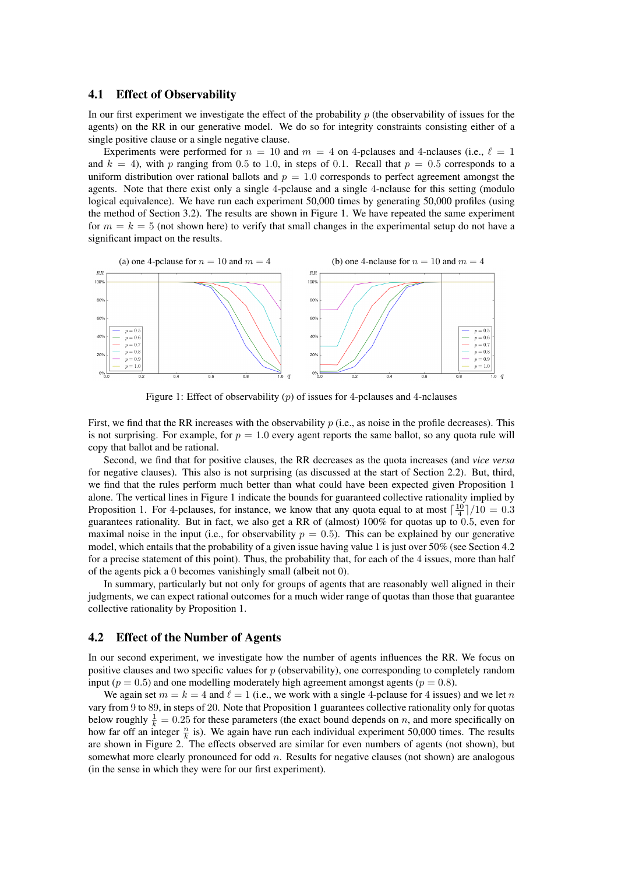#### 4.1 Effect of Observability

In our first experiment we investigate the effect of the probability  $p$  (the observability of issues for the agents) on the RR in our generative model. We do so for integrity constraints consisting either of a single positive clause or a single negative clause.

Experiments were performed for  $n = 10$  and  $m = 4$  on 4-pclauses and 4-nclauses (i.e.,  $\ell = 1$ ) and  $k = 4$ ), with p ranging from 0.5 to 1.0, in steps of 0.1. Recall that  $p = 0.5$  corresponds to a uniform distribution over rational ballots and  $p = 1.0$  corresponds to perfect agreement amongst the agents. Note that there exist only a single 4-pclause and a single 4-nclause for this setting (modulo logical equivalence). We have run each experiment 50,000 times by generating 50,000 profiles (using the method of Section 3.2). The results are shown in Figure 1. We have repeated the same experiment for  $m = k = 5$  (not shown here) to verify that small changes in the experimental setup do not have a significant impact on the results.



Figure 1: Effect of observability  $(p)$  of issues for 4-pclauses and 4-nclauses

First, we find that the RR increases with the observability  $p$  (i.e., as noise in the profile decreases). This is not surprising. For example, for  $p = 1.0$  every agent reports the same ballot, so any quota rule will copy that ballot and be rational.

Second, we find that for positive clauses, the RR decreases as the quota increases (and *vice versa* for negative clauses). This also is not surprising (as discussed at the start of Section 2.2). But, third, we find that the rules perform much better than what could have been expected given Proposition 1 alone. The vertical lines in Figure 1 indicate the bounds for guaranteed collective rationality implied by Proposition 1. For 4-pclauses, for instance, we know that any quota equal to at most  $\left(\frac{10}{4}\right)/10 = 0.3$ guarantees rationality. But in fact, we also get a RR of (almost) 100% for quotas up to 0.5, even for maximal noise in the input (i.e., for observability  $p = 0.5$ ). This can be explained by our generative model, which entails that the probability of a given issue having value 1 is just over 50% (see Section 4.2 for a precise statement of this point). Thus, the probability that, for each of the 4 issues, more than half of the agents pick a 0 becomes vanishingly small (albeit not 0).

In summary, particularly but not only for groups of agents that are reasonably well aligned in their judgments, we can expect rational outcomes for a much wider range of quotas than those that guarantee collective rationality by Proposition 1.

#### 4.2 Effect of the Number of Agents

In our second experiment, we investigate how the number of agents influences the RR. We focus on positive clauses and two specific values for  $p$  (observability), one corresponding to completely random input ( $p = 0.5$ ) and one modelling moderately high agreement amongst agents ( $p = 0.8$ ).

We again set  $m = k = 4$  and  $\ell = 1$  (i.e., we work with a single 4-pclause for 4 issues) and we let n vary from 9 to 89, in steps of 20. Note that Proposition 1 guarantees collective rationality only for quotas below roughly  $\frac{1}{k} = 0.25$  for these parameters (the exact bound depends on *n*, and more specifically on how far off an integer  $\frac{n}{k}$  is). We again have run each individual experiment 50,000 times. The results are shown in Figure 2. The effects observed are similar for even numbers of agents (not shown), but somewhat more clearly pronounced for odd  $n$ . Results for negative clauses (not shown) are analogous (in the sense in which they were for our first experiment).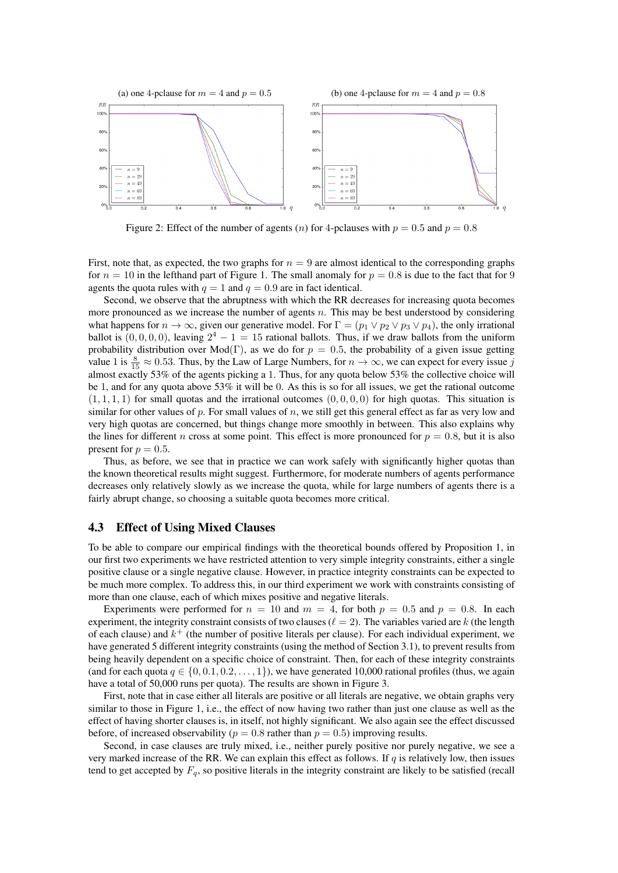

Figure 2: Effect of the number of agents (n) for 4-pclauses with  $p = 0.5$  and  $p = 0.8$ 

First, note that, as expected, the two graphs for  $n = 9$  are almost identical to the corresponding graphs for  $n = 10$  in the lefthand part of Figure 1. The small anomaly for  $p = 0.8$  is due to the fact that for 9 agents the quota rules with  $q = 1$  and  $q = 0.9$  are in fact identical.

Second, we observe that the abruptness with which the RR decreases for increasing quota becomes more pronounced as we increase the number of agents  $n$ . This may be best understood by considering what happens for  $n \to \infty$ , given our generative model. For  $\Gamma = (p_1 \vee p_2 \vee p_3 \vee p_4)$ , the only irrational ballot is  $(0, 0, 0, 0)$ , leaving  $2^4 - 1 = 15$  rational ballots. Thus, if we draw ballots from the uniform probability distribution over Mod(Γ), as we do for  $p = 0.5$ , the probability of a given issue getting value 1 is  $\frac{8}{15} \approx 0.53$ . Thus, by the Law of Large Numbers, for  $n \to \infty$ , we can expect for every issue j almost exactly 53% of the agents picking a 1. Thus, for any quota below 53% the collective choice will be 1, and for any quota above 53% it will be 0. As this is so for all issues, we get the rational outcome  $(1, 1, 1, 1)$  for small quotas and the irrational outcomes  $(0, 0, 0, 0)$  for high quotas. This situation is similar for other values of p. For small values of n, we still get this general effect as far as very low and very high quotas are concerned, but things change more smoothly in between. This also explains why the lines for different *n* cross at some point. This effect is more pronounced for  $p = 0.8$ , but it is also present for  $p = 0.5$ .

Thus, as before, we see that in practice we can work safely with significantly higher quotas than the known theoretical results might suggest. Furthermore, for moderate numbers of agents performance decreases only relatively slowly as we increase the quota, while for large numbers of agents there is a fairly abrupt change, so choosing a suitable quota becomes more critical.

#### 4.3 Effect of Using Mixed Clauses

To be able to compare our empirical findings with the theoretical bounds offered by Proposition 1, in our first two experiments we have restricted attention to very simple integrity constraints, either a single positive clause or a single negative clause. However, in practice integrity constraints can be expected to be much more complex. To address this, in our third experiment we work with constraints consisting of more than one clause, each of which mixes positive and negative literals.

Experiments were performed for  $n = 10$  and  $m = 4$ , for both  $p = 0.5$  and  $p = 0.8$ . In each experiment, the integrity constraint consists of two clauses ( $\ell = 2$ ). The variables varied are k (the length of each clause) and  $k^+$  (the number of positive literals per clause). For each individual experiment, we have generated 5 different integrity constraints (using the method of Section 3.1), to prevent results from being heavily dependent on a specific choice of constraint. Then, for each of these integrity constraints (and for each quota  $q \in \{0, 0.1, 0.2, \ldots, 1\}$ ), we have generated 10,000 rational profiles (thus, we again have a total of 50,000 runs per quota). The results are shown in Figure 3.

First, note that in case either all literals are positive or all literals are negative, we obtain graphs very similar to those in Figure 1, i.e., the effect of now having two rather than just one clause as well as the effect of having shorter clauses is, in itself, not highly significant. We also again see the effect discussed before, of increased observability ( $p = 0.8$  rather than  $p = 0.5$ ) improving results.

Second, in case clauses are truly mixed, i.e., neither purely positive nor purely negative, we see a very marked increase of the RR. We can explain this effect as follows. If  $q$  is relatively low, then issues tend to get accepted by  $F_q$ , so positive literals in the integrity constraint are likely to be satisfied (recall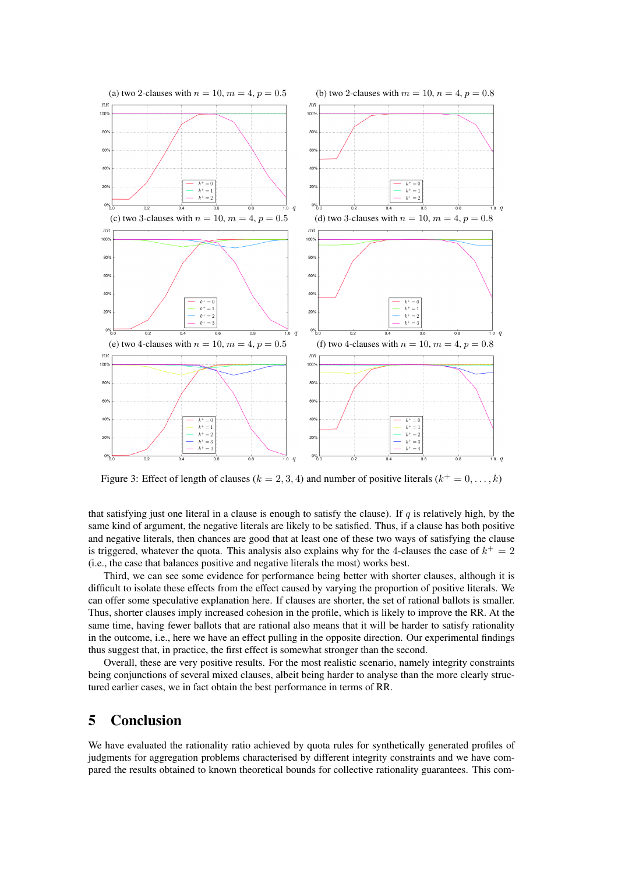

Figure 3: Effect of length of clauses ( $k = 2, 3, 4$ ) and number of positive literals ( $k^+ = 0, \ldots, k$ )

that satisfying just one literal in a clause is enough to satisfy the clause). If  $q$  is relatively high, by the same kind of argument, the negative literals are likely to be satisfied. Thus, if a clause has both positive and negative literals, then chances are good that at least one of these two ways of satisfying the clause is triggered, whatever the quota. This analysis also explains why for the 4-clauses the case of  $k^+ = 2$ (i.e., the case that balances positive and negative literals the most) works best.

Third, we can see some evidence for performance being better with shorter clauses, although it is difficult to isolate these effects from the effect caused by varying the proportion of positive literals. We can offer some speculative explanation here. If clauses are shorter, the set of rational ballots is smaller. Thus, shorter clauses imply increased cohesion in the profile, which is likely to improve the RR. At the same time, having fewer ballots that are rational also means that it will be harder to satisfy rationality in the outcome, i.e., here we have an effect pulling in the opposite direction. Our experimental findings thus suggest that, in practice, the first effect is somewhat stronger than the second.

Overall, these are very positive results. For the most realistic scenario, namely integrity constraints being conjunctions of several mixed clauses, albeit being harder to analyse than the more clearly structured earlier cases, we in fact obtain the best performance in terms of RR.

# 5 Conclusion

We have evaluated the rationality ratio achieved by quota rules for synthetically generated profiles of judgments for aggregation problems characterised by different integrity constraints and we have compared the results obtained to known theoretical bounds for collective rationality guarantees. This com